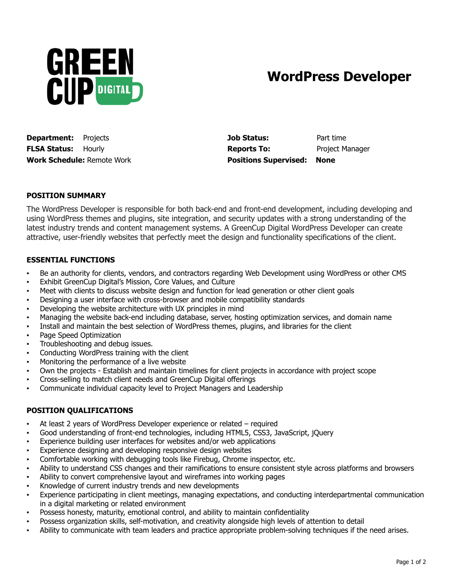

## **WordPress Developer**

**Work Schedule:** Remote Work **Positions Supervised: None**

**Department:** Projects **Job Status:** Part time **FLSA Status:** Hourly **Reports To:** Project Manager

## **POSITION SUMMARY**

The WordPress Developer is responsible for both back-end and front-end development, including developing and using WordPress themes and plugins, site integration, and security updates with a strong understanding of the latest industry trends and content management systems. A GreenCup Digital WordPress Developer can create attractive, user-friendly websites that perfectly meet the design and functionality specifications of the client.

## **ESSENTIAL FUNCTIONS**

- Be an authority for clients, vendors, and contractors regarding Web Development using WordPress or other CMS
- Exhibit GreenCup Digital's Mission, Core Values, and Culture
- Meet with clients to discuss website design and function for lead generation or other client goals
- Designing a user interface with cross-browser and mobile compatibility standards
- Developing the website architecture with UX principles in mind
- Managing the website back-end including database, server, hosting optimization services, and domain name
- Install and maintain the best selection of WordPress themes, plugins, and libraries for the client
- Page Speed Optimization
- Troubleshooting and debug issues.
- Conducting WordPress training with the client
- Monitoring the performance of a live website
- Own the projects Establish and maintain timelines for client projects in accordance with project scope
- Cross-selling to match client needs and GreenCup Digital offerings
- Communicate individual capacity level to Project Managers and Leadership

## **POSITION QUALIFICATIONS**

- At least 2 years of WordPress Developer experience or related required
- Good understanding of front-end technologies, including HTML5, CSS3, JavaScript, jQuery
- Experience building user interfaces for websites and/or web applications
- Experience designing and developing responsive design websites
- Comfortable working with debugging tools like Firebug, Chrome inspector, etc.
- Ability to understand CSS changes and their ramifications to ensure consistent style across platforms and browsers
- Ability to convert comprehensive layout and wireframes into working pages
- Knowledge of current industry trends and new developments
- Experience participating in client meetings, managing expectations, and conducting interdepartmental communication in a digital marketing or related environment
- Possess honesty, maturity, emotional control, and ability to maintain confidentiality
- Possess organization skills, self-motivation, and creativity alongside high levels of attention to detail
- Ability to communicate with team leaders and practice appropriate problem-solving techniques if the need arises.